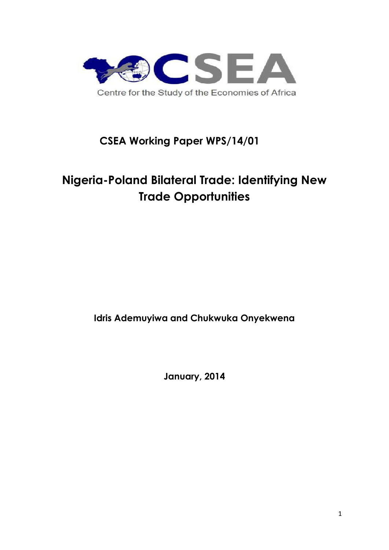

## **CSEA Working Paper WPS/14/01**

# **Nigeria-Poland Bilateral Trade: Identifying New Trade Opportunities**

**Idris Ademuyiwa and Chukwuka Onyekwena**

**January, 2014**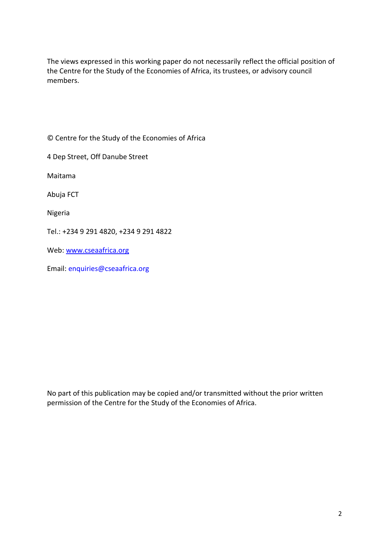The views expressed in this working paper do not necessarily reflect the official position of the Centre for the Study of the Economies of Africa, its trustees, or advisory council members.

© Centre for the Study of the Economies of Africa

4 Dep Street, Off Danube Street

Maitama

Abuja FCT

Nigeria

Tel.: +234 9 291 4820, +234 9 291 4822

Web: www.cseaafrica.org

Email: enquiries@cseaafrica.org

No part of this publication may be copied and/or transmitted without the prior written permission of the Centre for the Study of the Economies of Africa.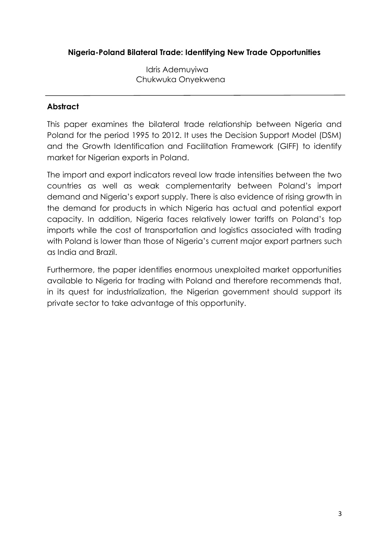### **Nigeria-Poland Bilateral Trade: Identifying New Trade Opportunities**

Idris Ademuyiwa Chukwuka Onyekwena

### **Abstract**

This paper examines the bilateral trade relationship between Nigeria and Poland for the period 1995 to 2012. It uses the Decision Support Model (DSM) and the Growth Identification and Facilitation Framework (GIFF) to identify market for Nigerian exports in Poland.

The import and export indicators reveal low trade intensities between the two countries as well as weak complementarity between Poland's import demand and Nigeria's export supply. There is also evidence of rising growth in the demand for products in which Nigeria has actual and potential export capacity. In addition, Nigeria faces relatively lower tariffs on Poland's top imports while the cost of transportation and logistics associated with trading with Poland is lower than those of Nigeria's current major export partners such as India and Brazil.

Furthermore, the paper identifies enormous unexploited market opportunities available to Nigeria for trading with Poland and therefore recommends that, in its quest for industrialization, the Nigerian government should support its private sector to take advantage of this opportunity.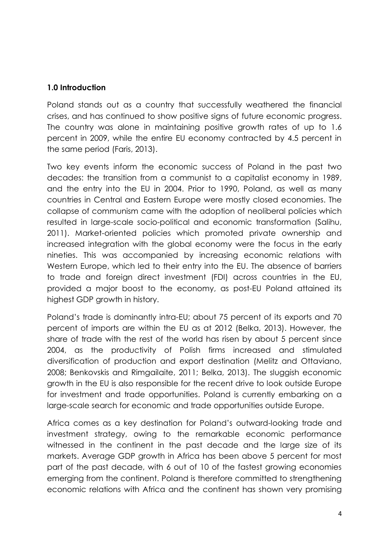### **1.0 Introduction**

Poland stands out as a country that successfully weathered the financial crises, and has continued to show positive signs of future economic progress. The country was alone in maintaining positive growth rates of up to 1.6 percent in 2009, while the entire EU economy contracted by 4.5 percent in the same period (Faris, 2013).

Two key events inform the economic success of Poland in the past two decades: the transition from a communist to a capitalist economy in 1989, and the entry into the EU in 2004. Prior to 1990, Poland, as well as many countries in Central and Eastern Europe were mostly closed economies. The collapse of communism came with the adoption of neoliberal policies which resulted in large-scale socio-political and economic transformation (Salihu, 2011). Market-oriented policies which promoted private ownership and increased integration with the global economy were the focus in the early nineties. This was accompanied by increasing economic relations with Western Europe, which led to their entry into the EU. The absence of barriers to trade and foreign direct investment (FDI) across countries in the EU, provided a major boost to the economy, as post-EU Poland attained its highest GDP growth in history.

Poland's trade is dominantly intra-EU; about 75 percent of its exports and 70 percent of imports are within the EU as at 2012 (Belka, 2013). However, the share of trade with the rest of the world has risen by about 5 percent since 2004, as the productivity of Polish firms increased and stimulated diversification of production and export destination (Melitz and Ottaviano, 2008; Benkovskis and Rimgailaite, 2011; Belka, 2013). The sluggish economic growth in the EU is also responsible for the recent drive to look outside Europe for investment and trade opportunities. Poland is currently embarking on a large-scale search for economic and trade opportunities outside Europe.

Africa comes as a key destination for Poland's outward-looking trade and investment strategy, owing to the remarkable economic performance witnessed in the continent in the past decade and the large size of its markets. Average GDP growth in Africa has been above 5 percent for most part of the past decade, with 6 out of 10 of the fastest growing economies emerging from the continent. Poland is therefore committed to strengthening economic relations with Africa and the continent has shown very promising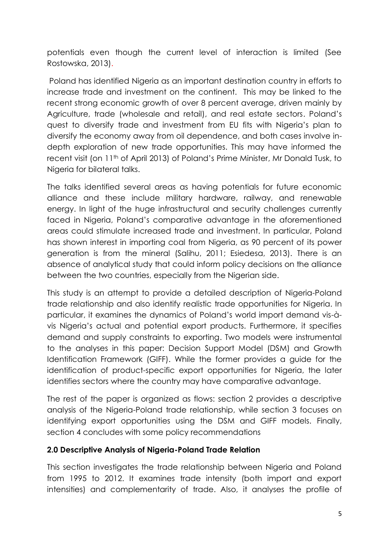potentials even though the current level of interaction is limited (See Rostowska, 2013).

Poland has identified Nigeria as an important destination country in efforts to increase trade and investment on the continent. This may be linked to the recent strong economic growth of over 8 percent average, driven mainly by Agriculture, trade (wholesale and retail), and real estate sectors. Poland's quest to diversify trade and investment from EU fits with Nigeria's plan to diversify the economy away from oil dependence, and both cases involve in depth exploration of new trade opportunities. This may have informed the recent visit (on 11th of April 2013) of Poland's Prime Minister, Mr Donald Tusk, to Nigeria for bilateral talks.

The talks identified several areas as having potentials for future economic alliance and these include military hardware, railway, and renewable energy. In light of the huge infrastructural and security challenges currently faced in Nigeria, Poland's comparative advantage in the aforementioned areas could stimulate increased trade and investment. In particular, Poland has shown interest in importing coal from Nigeria, as 90 percent of its power generation is from the mineral (Salihu, 2011; Esiedesa, 2013). There is an absence of analytical study that could inform policy decisions on the alliance between the two countries, especially from the Nigerian side.

This study is an attempt to provide a detailed description of Nigeria-Poland trade relationship and also identify realistic trade opportunities for Nigeria. In particular, it examines the dynamics of Poland's world import demand vis-à vis Nigeria's actual and potential export products. Furthermore, it specifies demand and supply constraints to exporting. Two models were instrumental to the analyses in this paper: Decision Support Model (DSM) and Growth Identification Framework (GIFF). While the former provides a guide for the identification of product-specific export opportunities for Nigeria, the later identifies sectors where the country may have comparative advantage.

The rest of the paper is organized as flows: section 2 provides a descriptive analysis of the Nigeria-Poland trade relationship, while section 3 focuses on identifying export opportunities using the DSM and GIFF models. Finally, section 4 concludes with some policy recommendations

### **2.0 Descriptive Analysis of Nigeria-Poland Trade Relation**

This section investigates the trade relationship between Nigeria and Poland from 1995 to 2012. It examines trade intensity (both import and export intensities) and complementarity of trade. Also, it analyses the profile of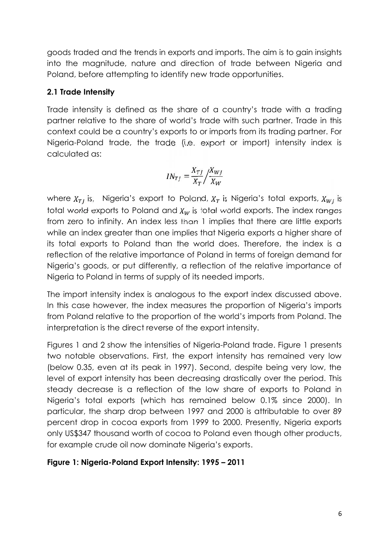goods traded and the trends in exports and imports. The aim is to gain insights into the magnitude, nature and direction of trade between Nigeria and Poland, before attempting to identify new trade opportunities.

### **2.1 Trade Intensity**

Trade intensity is defined as the share of a country's trade with a trading partner relative to the share of world's trade with such partner. Trade in this context could be a country's exports to or imports from its trading partner. For Nigeria-Poland trade, the trade (i.e. export or import) intensity index is calculated as:

$$
IN_{TJ} = \frac{X_{TJ}}{X_T} / \frac{X_{WJ}}{X_W}
$$

where  $X_{T}$  is, Nigeria's export to Poland,  $X_T$  is Nigeria's total exports,  $X_{W}$  is total world exports to Poland and  $X_w$  is total world exports. The index ranges from zero to infinity. An index less than 1 implies that there are little exports while an index greater than one implies that Nigeria exports a higher share of its total exports to Poland than the world does. Therefore, the index is a reflection of the relative importance of Poland in terms of foreign demand for Nigeria's goods, or put differently, a reflection of the relative importance of Nigeria to Poland in terms of supply of its needed imports.

The import intensity index is analogous to the export index discussed above. In this case however, the index measures the proportion of Nigeria's imports from Poland relative to the proportion of the world's imports from Poland. The interpretation is the direct reverse of the export intensity.

Figures 1 and 2 show the intensities of Nigeria-Poland trade. Figure 1 presents two notable observations. First, the export intensity has remained very low (below 0.35, even at its peak in 1997). Second, despite being very low, the level of export intensity has been decreasing drastically over the period. This steady decrease is a reflection of the low share of exports to Poland in Nigeria's total exports (which has remained below 0.1% since 2000). In particular, the sharp drop between 1997 and 2000 is attributable to over 89 percent drop in cocoa exports from 1999 to 2000. Presently, Nigeria exports only US\$347 thousand worth of cocoa to Poland even though other products, for example crude oil now dominate Nigeria's exports.

### **Figure 1: Nigeria-Poland Export Intensity: 1995 – 2011**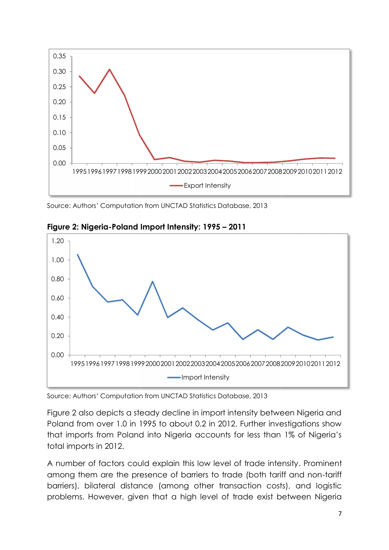

Source: Authors' Computation from UNCTAD Statistics Database, 2013



**Figure 2: Nigeria-Poland Import Intensity: 1995 – 2011 Nigeria-Poland**

Source: Authors' Computation from UNCTAD Statistics Database, 2013

Figure 2 also depicts a steady decline in import intensity between Nigeria and Poland from over 1.0 in 1995 to about 0.2 in 2012. Further investigations show that imports from Poland into Nigeria accounts for less than 1% of Nigeria's total imports in 2012. Figure 2 also depicts a steady decline in import intensity be<br>Poland from over 1.0 in 1995 to about 0.2 in 2012. Further<br>that imports from Poland into Nigeria accounts for less tl

A number of factors could explain this low level of trade intensity. Prominent among them are the presence of barriers to trade (both tariff and non-tariff barriers), bilateral distance (among other transaction costs), and logistic problems. However, given that a high level of trade exist between Nigeria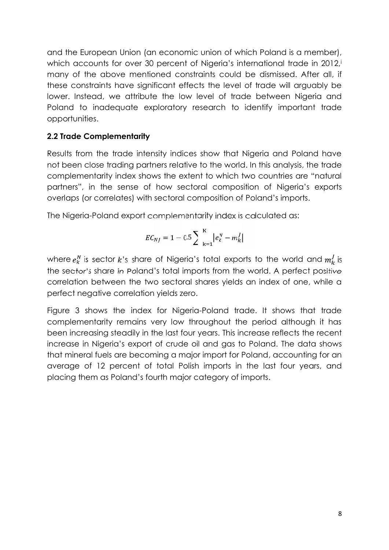and the European Union (an economic union of which Poland is a member), which accounts for over 30 percent of Nigeria's international trade in 2012, many of the above mentioned constraints could be dismissed. After all, if these constraints have significant effects the level of trade will arguably be lower. Instead, we attribute the low level of trade between Nigeria and Poland to inadequate exploratory research to identify important trade opportunities.

### **2.2 Trade Complementarity**

Results from the trade intensity indices show that Nigeria and Poland have not been close trading partners relative to the world. In this analysis, the trade complementarity index shows the extent to which two countries are "natural partners", in the sense of how sectoral composition of Nigeria's exports overlaps (or correlates) with sectoral composition of Poland's imports.

The Nigeria-Poland export complementarity index is calculated as:

$$
EC_{NJ} = 1 - 0.5 \sum_{k=1}^{K} |e_k^N - m_k^J|
$$

where  $e_k^N$  is sector k's share of Nigeria's total exports to the world and  $m_k^j$  is the sector's share in Poland's total imports from the world. A perfect positive correlation between the two sectoral shares yields an index of one, while a perfect negative correlation yields zero.

Figure 3 shows the index for Nigeria-Poland trade. It shows that trade complementarity remains very low throughout the period although it has been increasing steadily in the last four years. This increase reflects the recent increase in Nigeria's export of crude oil and gas to Poland. The data shows that mineral fuels are becoming a major import for Poland, accounting for an average of 12 percent of total Polish imports in the last four years, and placing them as Poland's fourth major category of imports.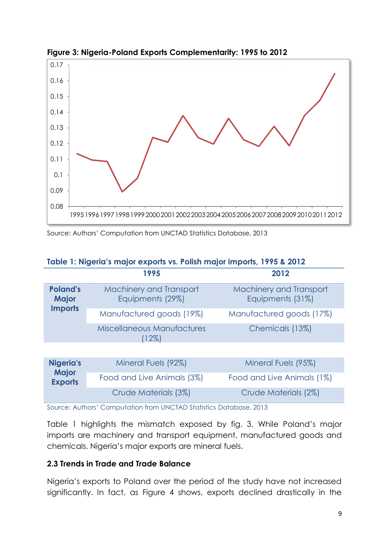

**Figure 3: Nigeria-Poland Exports Complementarity: 1995 to 2012 Nigeria-PolandExports Complementarity:**

|  |  |  | Table 1: Nigeria's major exports vs. Polish major imports, 1995 & 2012 |  |
|--|--|--|------------------------------------------------------------------------|--|
|--|--|--|------------------------------------------------------------------------|--|

|                                 | 1995 1996 1997 1998 1999 2000 2001 2002 2003 2004 2005 2006 2007 2008 2009 2010 2011 2012                                                                                                                 |                                                    |
|---------------------------------|-----------------------------------------------------------------------------------------------------------------------------------------------------------------------------------------------------------|----------------------------------------------------|
|                                 | Source: Authors' Computation from UNCTAD Statistics Database, 2013                                                                                                                                        |                                                    |
|                                 |                                                                                                                                                                                                           |                                                    |
|                                 | Table 1: Nigeria's major exports vs. Polish major imports, 1995 & 2012                                                                                                                                    |                                                    |
|                                 | 1995                                                                                                                                                                                                      | 2012                                               |
| <b>Poland's</b><br><b>Major</b> | <b>Machinery and Transport</b><br>Equipments (29%)                                                                                                                                                        | <b>Machinery and Transport</b><br>Equipments (31%) |
| <b>Imports</b>                  | Manufactured goods (19%)                                                                                                                                                                                  | Manufactured goods (17%)                           |
|                                 | <b>Miscellaneous Manufactures</b><br>(12%)                                                                                                                                                                | Chemicals (13%)                                    |
|                                 |                                                                                                                                                                                                           |                                                    |
| <b>Nigeria's</b>                | Mineral Fuels (92%)                                                                                                                                                                                       | Mineral Fuels (95%)                                |
| <b>Major</b><br><b>Exports</b>  | Food and Live Animals (3%)                                                                                                                                                                                | Food and Live Animals (1%)                         |
|                                 | Crude Materials (3%)                                                                                                                                                                                      | Crude Materials (2%)                               |
|                                 | Source: Authors' Computation from UNCTAD Statistics Database, 2013                                                                                                                                        |                                                    |
|                                 | Table 1 highlights the mismatch exposed by fig. 3. While Poland's major<br>imports are machinery and transport equipment, manufactured goods and<br>chemicals, Nigeria's major exports are mineral fuels. |                                                    |
|                                 | 2.3 Trends in Trade and Trade Balance                                                                                                                                                                     |                                                    |
|                                 | Nigeria's exports to Poland over the period of the study have not increased                                                                                                                               |                                                    |

Table 1 highlights the mismatch exposed by fig. 3. While Poland's major Table 1 highlights the mismatch exposed by fig. 3. While Poland's major<br>imports are machinery and transport equipment, manufactured goods and chemicals, Nigeria's major exports are mineral fuels.

### **2.3 Trends in Trade and Trade Balance Trends in**

Nigeria's exports to Poland over the period of the study have not increased significantly. In fact, as Figure 4 shows, exports declined drastically in the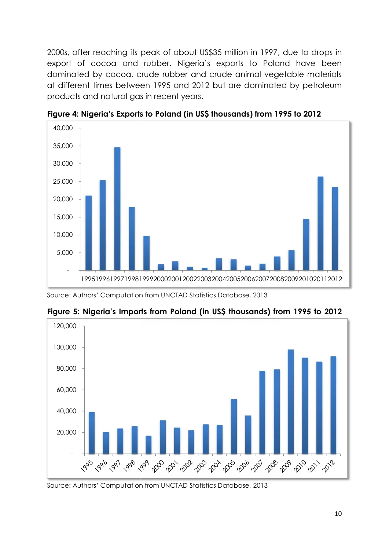2000s, after reaching its peak of about US\$35 million in 1997, due to drops in export of cocoa and rubber. Nigeria's exports to Poland have been dominated by cocoa, crude rubber and crude animal vegetable materials at different times between 1995 and 2012 but are dominated by petroleum products and natural gas in recent years. 2000s, after reaching its peak of about US\$35 million in 1997, dexport of cocoa and rubber. Nigeria's exports to Polance<br>dominated by cocoa, crude rubber and crude animal veget<br>at different times between 1995 and 2012 but



**Figure 4: Nigeria's Exports to Poland (in US\$ thousands) from 1995 to 2012**

Source: Authors' Computation from UNCTAD Statistics Database, 2013



**Figure 5: Nigeria's Imports from Poland (in US\$ thousands) from 1995 to 2012**

Source: Authors' Computation from UNCTAD Statistics Database, 2013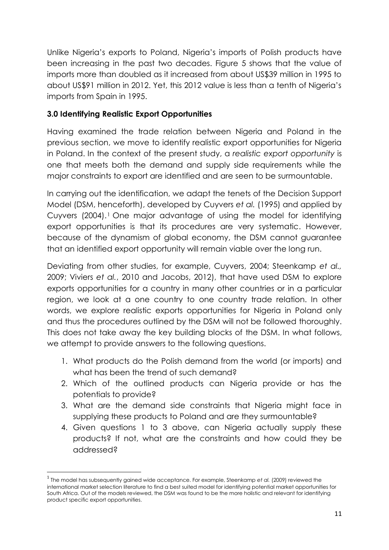Unlike Nigeria's exports to Poland, Nigeria's imports of Polish products have been increasing in the past two decades. Figure 5 shows that the value of imports more than doubled as it increased from about US\$39 million in 1995 to about US\$91 million in 2012. Yet, this 2012 value is less than a tenth of Nigeria's imports from Spain in 1995.

### **3.0 Identifying Realistic Export Opportunities**

Having examined the trade relation between Nigeria and Poland in the previous section, we move to identify realistic export opportunities for Nigeria in Poland. In the context of the present study, a *realistic export opportunity* is one that meets both the demand and supply side requirements while the major constraints to export are identified and are seen to be surmountable.

In carrying out the identification, we adapt the tenets of the Decision Support Model (DSM, henceforth), developed by Cuyvers *et al.* (1995) and applied by Cuyvers (2004).<sup>1</sup> One major advantage of using the model for identifying export opportunities is that its procedures are very systematic. However, because of the dynamism of global economy, the DSM cannot guarantee that an identified export opportunity will remain viable over the long run.

Deviating from other studies, for example, Cuyvers, 2004; Steenkamp *et al.,* 2009; Viviers *et al.*, 2010 and Jacobs, 2012), that have used DSM to explore exports opportunities for a country in many other countries or in a particular region, we look at a one country to one country trade relation. In other words, we explore realistic exports opportunities for Nigeria in Poland only and thus the procedures outlined by the DSM will not be followed thoroughly. This does not take away the key building blocks of the DSM. In what follows, we attempt to provide answers to the following questions.

- 1. What products do the Polish demand from the world (or imports) and what has been the trend of such demand?
- 2. Which of the outlined products can Nigeria provide or has the potentials to provide?
- 3. What are the demand side constraints that Nigeria might face in supplying these products to Poland and are they surmountable?
- 4. Given questions 1 to 3 above, can Nigeria actually supply these products? If not, what are the constraints and how could they be addressed?

<sup>1</sup> The model has subsequently gained wide acceptance. For example, Steenkamp *et al.* (2009) reviewed the international market selection literature to find a best suited model for identifying potential market opportunities for South Africa. Out of the models reviewed, the DSM was found to be the more holistic and relevant for identifying product specific export opportunities.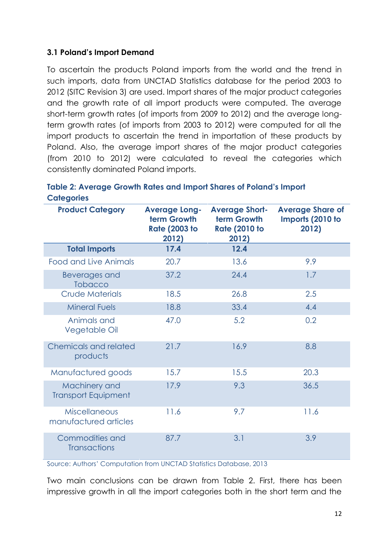### **3.1 Poland's Import Demand**

To ascertain the products Poland imports from the world and the trend in such imports, data from UNCTAD Statistics database for the period 2003 to 2012 (SITC Revision 3) are used. Import shares of the major product categories and the growth rate of all import products were computed. The average short-term growth rates (of imports from 2009 to 2012) and the average long term growth rates (of imports from 2003 to 2012) were computed for all the import products to ascertain the trend in importation of these products by Poland. Also, the average import shares of the major product categories (from 2010 to 2012) were calculated to reveal the categories which consistently dominated Poland imports.

| <b>Product Category</b>                       | <b>Average Long-</b><br>term Growth<br><b>Rate (2003 to</b> | <b>Average Short-</b><br>term Growth<br><b>Rate (2010 to</b> | <b>Average Share of</b><br>Imports (2010 to<br>2012) |
|-----------------------------------------------|-------------------------------------------------------------|--------------------------------------------------------------|------------------------------------------------------|
|                                               | 2012)                                                       | 2012)                                                        |                                                      |
| <b>Total Imports</b>                          | 17.4                                                        | 12.4                                                         |                                                      |
| <b>Food and Live Animals</b>                  | 20.7                                                        | 13.6                                                         | 9.9                                                  |
| Beverages and<br><b>Tobacco</b>               | 37.2                                                        | 24.4                                                         | 1.7                                                  |
| <b>Crude Materials</b>                        | 18.5                                                        | 26.8                                                         | 2.5                                                  |
| <b>Mineral Fuels</b>                          | 18.8                                                        | 33.4                                                         | 4.4                                                  |
| Animals and<br>Vegetable Oil                  | 47.0                                                        | 5.2                                                          | 0.2                                                  |
| <b>Chemicals and related</b><br>products      | 21.7                                                        | 16.9                                                         | 8.8                                                  |
| Manufactured goods                            | 15.7                                                        | 15.5                                                         | 20.3                                                 |
| Machinery and<br><b>Transport Equipment</b>   | 17.9                                                        | 9.3                                                          | 36.5                                                 |
| <b>Miscellaneous</b><br>manufactured articles | 11.6                                                        | 9.7                                                          | 11.6                                                 |
| Commodities and<br><b>Transactions</b>        | 87.7                                                        | 3.1                                                          | 3.9                                                  |

| Table 2: Average Growth Rates and Import Shares of Poland's Import |  |
|--------------------------------------------------------------------|--|
| <b>Categories</b>                                                  |  |

Source: Authors' Computation from UNCTAD Statistics Database, 2013

Two main conclusions can be drawn from Table 2. First, there has been impressive growth in all the import categories both in the short term and the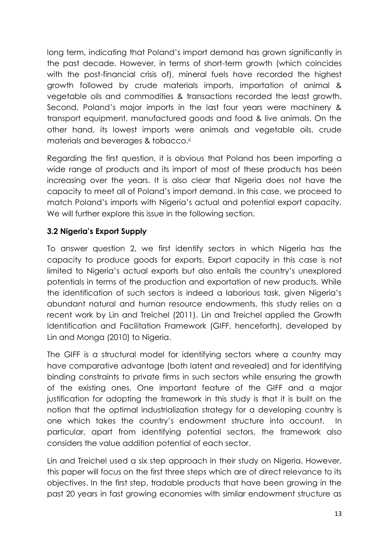long term, indicating that Poland's import demand has grown significantly in the past decade. However, in terms of short-term growth (which coincides with the post-financial crisis of), mineral fuels have recorded the highest growth followed by crude materials imports, importation of animal & vegetable oils and commodities & transactions recorded the least growth. Second, Poland's major imports in the last four years were machinery & transport equipment, manufactured goods and food & live animals. On the other hand, its lowest imports were animals and vegetable oils, crude materials and beverages & tobacco.<sup>ii</sup>

Regarding the first question, it is obvious that Poland has been importing a wide range of products and its import of most of these products has been increasing over the years. It is also clear that Nigeria does not have the capacity to meet all of Poland's import demand. In this case, we proceed to match Poland's imports with Nigeria's actual and potential export capacity. We will further explore this issue in the following section.

### **3.2 Nigeria's Export Supply**

To answer question 2, we first identify sectors in which Nigeria has the capacity to produce goods for exports. Export capacity in this case is not limited to Nigeria's actual exports but also entails the country's unexplored potentials in terms of the production and exportation of new products. While the identification of such sectors is indeed a laborious task, given Nigeria's abundant natural and human resource endowments, this study relies on a recent work by Lin and Treichel (2011). Lin and Treichel applied the Growth Identification and Facilitation Framework (GIFF, henceforth), developed by Lin and Monga (2010) to Nigeria.

The GIFF is a structural model for identifying sectors where a country may have comparative advantage (both latent and revealed) and for identifying binding constraints to private firms in such sectors while ensuring the growth of the existing ones. One important feature of the GIFF and a major justification for adopting the framework in this study is that it is built on the notion that the optimal industrialization strategy for a developing country is one which takes the country's endowment structure into account. In particular, apart from identifying potential sectors, the framework also considers the value addition potential of each sector.

Lin and Treichel used a six step approach in their study on Nigeria. However, this paper will focus on the first three steps which are of direct relevance to its objectives. In the first step, tradable products that have been growing in the past 20 years in fast growing economies with similar endowment structure as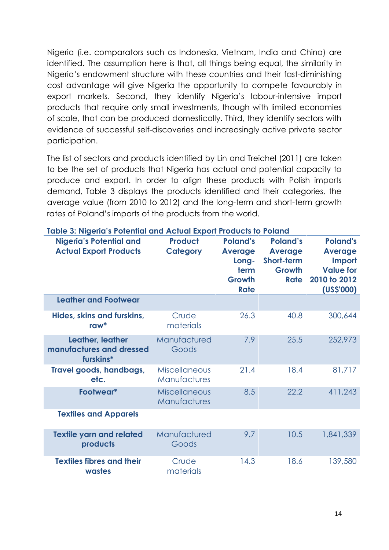Nigeria (i.e. comparators such as Indonesia, Vietnam, India and China) are identified. The assumption here is that, all things being equal, the similarity in Nigeria's endowment structure with these countries and their fast-diminishing cost advantage will give Nigeria the opportunity to compete favourably in export markets. Second, they identify Nigeria's labour-intensive import products that require only small investments, though with limited economies of scale, that can be produced domestically. Third, they identify sectors with evidence of successful self-discoveries and increasingly active private sector participation.

The list of sectors and products identified by Lin and Treichel (2011) are taken to be the set of products that Nigeria has actual and potential capacity to produce and export. In order to align these products with Polish imports demand, Table 3 displays the products identified and their categories, the average value (from 2010 to 2012) and the long-term and short-term growth rates of Poland's imports of the products from the world.

| <b>Nigeria's Potential and</b><br><b>Actual Export Products</b> | <b>Product</b><br><b>Category</b>    | <b>Poland's</b><br><b>Average</b><br>Long-<br>term<br><b>Growth</b><br><b>Rate</b> | <b>Poland's</b><br><b>Average</b><br>Short-term<br><b>Growth</b><br><b>Rate</b> | <b>Poland's</b><br><b>Average</b><br>Import<br><b>Value for</b><br>2010 to 2012<br>(US\$'000) |
|-----------------------------------------------------------------|--------------------------------------|------------------------------------------------------------------------------------|---------------------------------------------------------------------------------|-----------------------------------------------------------------------------------------------|
| Leather and Footwear                                            |                                      |                                                                                    |                                                                                 |                                                                                               |
| Hides, skins and furskins,<br>$row^*$                           | Crude<br>materials                   | 26.3                                                                               | 40.8                                                                            | 300,644                                                                                       |
| Leather, leather<br>manufactures and dressed<br>furskins*       | Manufactured<br>Goods                | 7.9                                                                                | 25.5                                                                            | 252,973                                                                                       |
| Travel goods, handbags,<br>etc.                                 | <b>Miscellaneous</b><br>Manufactures | 21.4                                                                               | 18.4                                                                            | 81,717                                                                                        |
| Footwear*                                                       | <b>Miscellaneous</b><br>Manufactures | 8.5                                                                                | 22.2                                                                            | 411,243                                                                                       |
| <b>Textiles and Apparels</b>                                    |                                      |                                                                                    |                                                                                 |                                                                                               |
| <b>Textile yarn and related</b><br>products                     | Manufactured<br>Goods                | 9.7                                                                                | 10.5                                                                            | 1,841,339                                                                                     |
| <b>Textiles fibres and their</b><br>wastes                      | Crude<br>materials                   | 14.3                                                                               | 18.6                                                                            | 139,580                                                                                       |

#### **Table 3: Nigeria's Potential and Actual Export Products to Poland**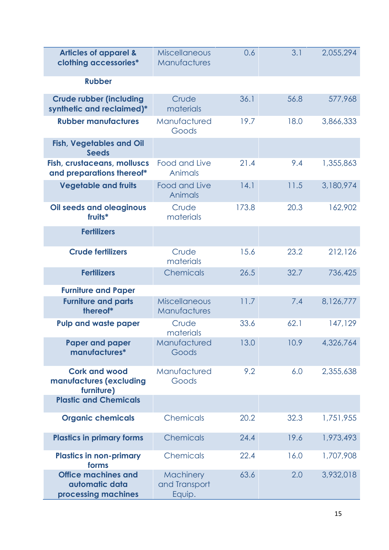| <b>Articles of apparel &amp;</b><br>clothing accessories*           | <b>Miscellaneous</b><br>Manufactures | 0.6   | 3.1  | 2,055,294 |
|---------------------------------------------------------------------|--------------------------------------|-------|------|-----------|
| <b>Rubber</b>                                                       |                                      |       |      |           |
| <b>Crude rubber (including</b><br>synthetic and reclaimed)*         | Crude<br>materials                   | 36.1  | 56.8 | 577,968   |
| <b>Rubber manufactures</b>                                          | Manufactured<br>Goods                | 19.7  | 18.0 | 3,866,333 |
| <b>Fish, Vegetables and Oil</b><br><b>Seeds</b>                     |                                      |       |      |           |
| <b>Fish, crustaceans, molluscs</b><br>and preparations thereof*     | Food and Live<br>Animals             | 21.4  | 9.4  | 1,355,863 |
| <b>Vegetable and fruits</b>                                         | Food and Live<br>Animals             | 14.1  | 11.5 | 3,180,974 |
| <b>Oil seeds and oleaginous</b><br>fruits*                          | Crude<br>materials                   | 173.8 | 20.3 | 162,902   |
| <b>Fertilizers</b>                                                  |                                      |       |      |           |
| <b>Crude fertilizers</b>                                            | Crude<br>materials                   | 15.6  | 23.2 | 212,126   |
| <b>Fertilizers</b>                                                  | Chemicals                            | 26.5  | 32.7 | 736,425   |
| <b>Furniture and Paper</b>                                          |                                      |       |      |           |
| <b>Furniture and parts</b><br>thereof*                              | <b>Miscellaneous</b><br>Manufactures | 11.7  | 7.4  | 8,126,777 |
| <b>Pulp and waste paper</b>                                         | Crude<br>materials                   | 33.6  | 62.1 | 147,129   |
| <b>Paper and paper</b><br>manufactures*                             | Manufactured<br>Goods                | 13.0  | 10.9 | 4,326,764 |
| <b>Cork and wood</b><br>manufactures (excluding<br>furniture)       | Manufactured<br>Goods                | 9.2   | 6.0  | 2,355,638 |
| <b>Plastic and Chemicals</b>                                        |                                      |       |      |           |
| <b>Organic chemicals</b>                                            | Chemicals                            | 20.2  | 32.3 | 1,751,955 |
| <b>Plastics in primary forms</b>                                    | Chemicals                            | 24.4  | 19.6 | 1,973,493 |
| <b>Plastics in non-primary</b><br>forms                             | Chemicals                            | 22.4  | 16.0 | 1,707,908 |
| <b>Office machines and</b><br>automatic data<br>processing machines | Machinery<br>and Transport<br>Equip. | 63.6  | 2.0  | 3,932,018 |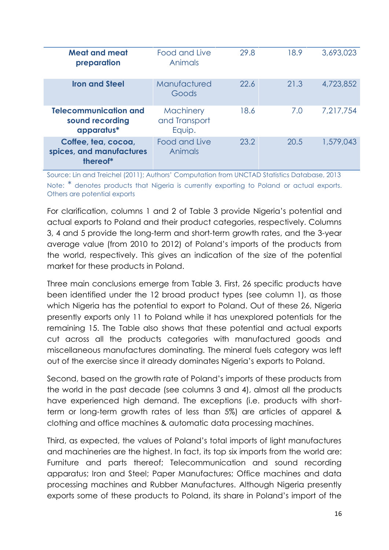| <b>Meat and meat</b><br>preparation                           | Food and Live<br><b>Animals</b>      | 29.8 | 18.9 | 3,693,023 |
|---------------------------------------------------------------|--------------------------------------|------|------|-----------|
| <b>Iron and Steel</b>                                         | Manufactured<br>Goods                | 22.6 | 21.3 | 4,723,852 |
| <b>Telecommunication and</b><br>sound recording<br>apparatus* | Machinery<br>and Transport<br>Equip. | 18.6 | 7.0  | 7,217,754 |
| Coffee, tea, cocoa,<br>spices, and manufactures<br>thereof*   | Food and Live<br>Animals             | 23.2 | 20.5 | 1,579,043 |

Source: Lin and Treichel (2011); Authors' Computation from UNCTAD Statistics Database, 2013 Note: \* denotes products that Nigeria is currently exporting to Poland or actual exports. Others are potential exports

For clarification, columns 1 and 2 of Table 3 provide Nigeria's potential and actual exports to Poland and their product categories, respectively. Columns 3, 4 and 5 provide the long-term and short-term growth rates, and the 3-year average value (from 2010 to 2012) of Poland's imports of the products from the world, respectively. This gives an indication of the size of the potential market for these products in Poland.

Three main conclusions emerge from Table 3. First, 26 specific products have been identified under the 12 broad product types (see column 1), as those which Nigeria has the potential to export to Poland. Out of these 26, Nigeria presently exports only 11 to Poland while it has unexplored potentials for the remaining 15. The Table also shows that these potential and actual exports cut across all the products categories with manufactured goods and miscellaneous manufactures dominating. The mineral fuels category was left out of the exercise since it already dominates Nigeria's exports to Poland.

Second, based on the growth rate of Poland's imports of these products from the world in the past decade (see columns 3 and 4), almost all the products have experienced high demand. The exceptions (i.e. products with short term or long-term growth rates of less than 5%) are articles of apparel & clothing and office machines & automatic data processing machines.

Third, as expected, the values of Poland's total imports of light manufactures and machineries are the highest. In fact, its top six imports from the world are: Furniture and parts thereof; Telecommunication and sound recording apparatus; Iron and Steel; Paper Manufactures; Office machines and data processing machines and Rubber Manufactures. Although Nigeria presently exports some of these products to Poland, its share in Poland's import of the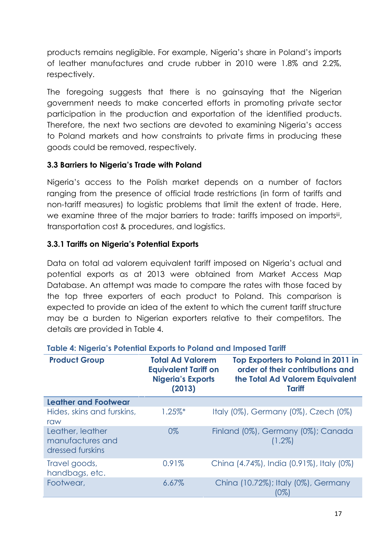products remains negligible. For example, Nigeria's share in Poland's imports of leather manufactures and crude rubber in 2010 were 1.8% and 2.2%, respectively.

The foregoing suggests that there is no gainsaying that the Nigerian government needs to make concerted efforts in promoting private sector participation in the production and exportation of the identified products. Therefore, the next two sections are devoted to examining Nigeria's access to Poland markets and how constraints to private firms in producing these goods could be removed, respectively.

### **3.3 Barriers to Nigeria's Trade with Poland**

Nigeria's access to the Polish market depends on a number of factors ranging from the presence of official trade restrictions (in form of tariffs and non-tariff measures) to logistic problems that limit the extent of trade. Here, we examine three of the major barriers to trade: tariffs imposed on importsiti, transportation cost & procedures, and logistics.

### **3.3.1 Tariffs on Nigeria's Potential Exports**

Data on total ad valorem equivalent tariff imposed on Nigeria's actual and potential exports as at 2013 were obtained from Market Access Map Database. An attempt was made to compare the rates with those faced by the top three exporters of each product to Poland. This comparison is expected to provide an idea of the extent to which the current tariff structure may be a burden to Nigerian exporters relative to their competitors. The details are provided in Table 4.

| <b>Product Group</b>                                     | <b>Total Ad Valorem</b><br><b>Equivalent Tariff on</b><br><b>Nigeria's Exports</b><br>(2013) | Top Exporters to Poland in 2011 in<br>order of their contributions and<br>the Total Ad Valorem Equivalent<br><b>Tariff</b> |
|----------------------------------------------------------|----------------------------------------------------------------------------------------------|----------------------------------------------------------------------------------------------------------------------------|
| <b>Leather and Footwear</b>                              |                                                                                              |                                                                                                                            |
| Hides, skins and furskins,<br>raw                        | $1.25\%$ *                                                                                   | Italy (0%), Germany (0%), Czech (0%)                                                                                       |
| Leather, leather<br>manufactures and<br>dressed furskins | 0%                                                                                           | Finland (0%), Germany (0%); Canada<br>$(1.2\%)$                                                                            |
| Travel goods,<br>handbags, etc.                          | 0.91%                                                                                        | China (4.74%), India (0.91%), Italy (0%)                                                                                   |
| Footwear,                                                | 6.67%                                                                                        | China (10.72%); Italy (0%), Germany<br>(0%)                                                                                |

### **Table 4: Nigeria's Potential Exports to Poland and Imposed Tariff**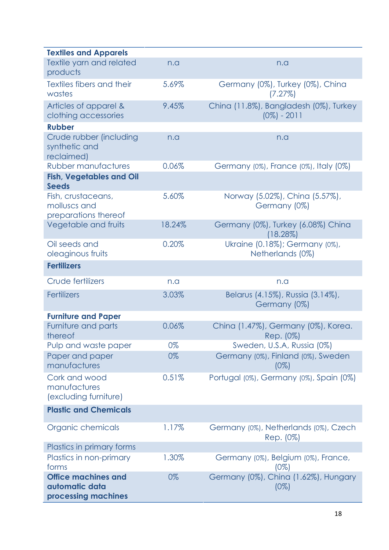| <b>Textiles and Apparels</b>                                        |        |                                                          |
|---------------------------------------------------------------------|--------|----------------------------------------------------------|
| Textile yarn and related<br>products                                | n.a    | n.a                                                      |
| Textiles fibers and their                                           | 5.69%  | Germany (0%), Turkey (0%), China                         |
| wastes                                                              |        | (7.27%)                                                  |
| Articles of apparel &<br>clothing accessories                       | 9.45%  | China (11.8%), Bangladesh (0%), Turkey<br>$(0\%) - 2011$ |
| <b>Rubber</b>                                                       |        |                                                          |
| Crude rubber (including<br>synthetic and<br>reclaimed)              | n.a    | n.a                                                      |
| <b>Rubber manufactures</b>                                          | 0.06%  | Germany (0%), France (0%), Italy (0%)                    |
| <b>Fish, Vegetables and Oil</b><br><b>Seeds</b>                     |        |                                                          |
| Fish, crustaceans,<br>molluscs and<br>preparations thereof          | 5.60%  | Norway (5.02%), China (5.57%),<br>Germany (0%)           |
| Vegetable and fruits                                                | 18.24% | Germany (0%), Turkey (6.08%) China<br>$(18.28\%)$        |
| Oil seeds and<br>oleaginous fruits                                  | 0.20%  | Ukraine (0.18%); Germany (0%),<br>Netherlands (0%)       |
| <b>Fertilizers</b>                                                  |        |                                                          |
| Crude fertilizers                                                   | n.a    | n.a                                                      |
| <b>Fertilizers</b>                                                  | 3.03%  | Belarus (4.15%), Russia (3.14%),<br>Germany (0%)         |
| <b>Furniture and Paper</b>                                          |        |                                                          |
| Furniture and parts<br>thereof                                      | 0.06%  | China (1.47%), Germany (0%), Korea.<br>Rep. (0%)         |
| Pulp and waste paper                                                | 0%     | Sweden, U.S.A, Russia (0%)                               |
| Paper and paper<br>manufactures                                     | 0%     | Germany (0%), Finland (0%), Sweden<br>$(0\%)$            |
| Cork and wood<br>manufactures<br>(excluding furniture)              | 0.51%  | Portugal (0%), Germany (0%), Spain (0%)                  |
| <b>Plastic and Chemicals</b>                                        |        |                                                          |
| Organic chemicals                                                   | 1.17%  | Germany (0%), Netherlands (0%), Czech<br>Rep. (0%)       |
| Plastics in primary forms                                           |        |                                                          |
| Plastics in non-primary<br>forms                                    | 1.30%  | Germany (0%), Belgium (0%), France,<br>$(0\%)$           |
| <b>Office machines and</b><br>automatic data<br>processing machines | 0%     | Germany (0%), China (1.62%), Hungary<br>$(0\%)$          |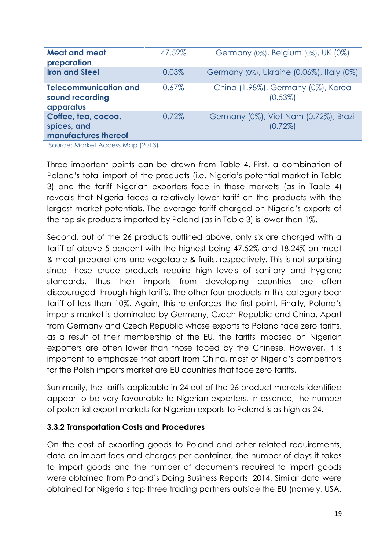| <b>Meat and meat</b><br>preparation                          | 47.52% | Germany (0%), Belgium (0%), UK (0%)                  |
|--------------------------------------------------------------|--------|------------------------------------------------------|
| <b>Iron and Steel</b>                                        | 0.03%  | Germany (0%), Ukraine (0.06%), Italy (0%)            |
| <b>Telecommunication and</b><br>sound recording<br>apparatus | 0.67%  | China (1.98%), Germany (0%), Korea<br>$(0.53\%)$     |
| Coffee, tea, cocoa,<br>spices, and<br>manufactures thereof   | 0.72%  | Germany (0%), Viet Nam (0.72%), Brazil<br>$(0.72\%)$ |

Source: Market Access Map (2013)

Three important points can be drawn from Table 4. First, a combination of Poland's total import of the products (i.e. Nigeria's potential market in Table 3) and the tariff Nigerian exporters face in those markets (as in Table 4) reveals that Nigeria faces a relatively lower tariff on the products with the largest market potentials. The average tariff charged on Nigeria's exports of the top six products imported by Poland (as in Table 3) is lower than 1%.

Second, out of the 26 products outlined above, only six are charged with a tariff of above 5 percent with the highest being 47.52% and 18.24% on meat & meat preparations and vegetable & fruits, respectively. This is not surprising since these crude products require high levels of sanitary and hygiene standards, thus their imports from developing countries are often discouraged through high tariffs. The other four products in this category bear tariff of less than 10%. Again, this re-enforces the first point. Finally, Poland's imports market is dominated by Germany, Czech Republic and China. Apart from Germany and Czech Republic whose exports to Poland face zero tariffs, as a result of their membership of the EU, the tariffs imposed on Nigerian exporters are often lower than those faced by the Chinese. However, it is important to emphasize that apart from China, most of Nigeria's competitors for the Polish imports market are EU countries that face zero tariffs.

Summarily, the tariffs applicable in 24 out of the 26 product markets identified appear to be very favourable to Nigerian exporters. In essence, the number of potential export markets for Nigerian exports to Poland is as high as 24.

### **3.3.2 Transportation Costs and Procedures**

On the cost of exporting goods to Poland and other related requirements, data on import fees and charges per container, the number of days it takes to import goods and the number of documents required to import goods were obtained from Poland's Doing Business Reports, 2014. Similar data were obtained for Nigeria's top three trading partners outside the EU (namely, USA,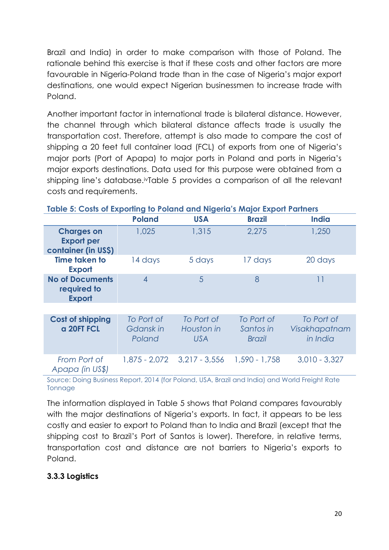Brazil and India) in order to make comparison with those of Poland. The rationale behind this exercise is that if these costs and other factors are more favourable in Nigeria-Poland trade than in the case of Nigeria's major export destinations, one would expect Nigerian businessmen to increase trade with Poland.

Another important factor in international trade is bilateral distance. However, the channel through which bilateral distance affects trade is usually the transportation cost. Therefore, attempt is also made to compare the cost of shipping a 20 feet full container load (FCL) of exports from one of Nigeria's major ports (Port of Apapa) to major ports in Poland and ports in Nigeria's major exports destinations. Data used for this purpose were obtained from a shipping line's database.<sup>iv</sup>Table 5 provides a comparison of all the relevant costs and requirements.

|                                                               | <b>Poland</b>                     | <b>USA</b>                             | <b>Brazil</b>                            | <b>India</b>                            |
|---------------------------------------------------------------|-----------------------------------|----------------------------------------|------------------------------------------|-----------------------------------------|
| <b>Charges on</b><br><b>Export per</b><br>container (in US\$) | 1,025                             | 1,315                                  | 2,275                                    | 1,250                                   |
| <b>Time taken to</b><br><b>Export</b>                         | 14 days                           | 5 days                                 | 17 days                                  | 20 days                                 |
| <b>No of Documents</b><br>required to<br><b>Export</b>        | $\overline{4}$                    | 5                                      | 8                                        | 11                                      |
|                                                               |                                   |                                        |                                          |                                         |
| <b>Cost of shipping</b><br>a 20FT FCL                         | To Port of<br>Gdansk in<br>Poland | To Port of<br>Houston in<br><b>USA</b> | To Port of<br>Santos in<br><b>Brazil</b> | To Port of<br>Visakhapatnam<br>in India |
| From Port of<br>Apapa (in US\$)                               | 1,875 - 2,072                     | $3,217 - 3,556$                        | $1,590 - 1,758$                          | $3,010 - 3,327$                         |

#### **Table 5: Costs of Exporting to Poland and Nigeria's Major Export Partners**

Source: Doing Business Report, 2014 (for Poland, USA, Brazil and India) and World Freight Rate **Tonnage** 

The information displayed in Table 5 shows that Poland compares favourably with the major destinations of Nigeria's exports. In fact, it appears to be less costly and easier to export to Poland than to India and Brazil (except that the shipping cost to Brazil's Port of Santos is lower). Therefore, in relative terms, transportation cost and distance are not barriers to Nigeria's exports to Poland.

### **3.3.3 Logistics**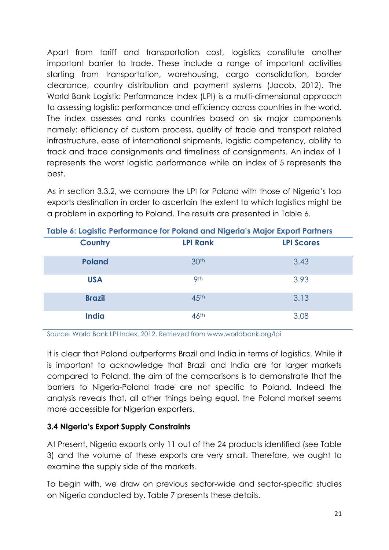Apart from tariff and transportation cost, logistics constitute another important barrier to trade. These include a range of important activities starting from transportation, warehousing, cargo consolidation, border clearance, country distribution and payment systems (Jacob, 2012). The World Bank Logistic Performance Index (LPI) is a multi-dimensional approach to assessing logistic performance and efficiency across countries in the world. The index assesses and ranks countries based on six major components namely: efficiency of custom process, quality of trade and transport related infrastructure, ease of international shipments, logistic competency, ability to track and trace consignments and timeliness of consignments. An index of 1 represents the worst logistic performance while an index of 5 represents the best.

As in section 3.3.2, we compare the LPI for Poland with those of Nigeria's top exports destination in order to ascertain the extent to which logistics might be a problem in exporting to Poland. The results are presented in Table 6.

| Table 6: Logistic Performance for Poland and Nigeria's Major Export Partners |                  |                   |  |  |  |  |  |
|------------------------------------------------------------------------------|------------------|-------------------|--|--|--|--|--|
| <b>Country</b>                                                               | <b>LPI Rank</b>  | <b>LPI Scores</b> |  |  |  |  |  |
| <b>Poland</b>                                                                | 30 <sup>th</sup> | 3.43              |  |  |  |  |  |
| <b>USA</b>                                                                   | 9 <sup>th</sup>  | 3.93              |  |  |  |  |  |
| <b>Brazil</b>                                                                | 45 <sup>th</sup> | 3.13              |  |  |  |  |  |
| <b>India</b>                                                                 | 46 <sup>th</sup> | 3.08              |  |  |  |  |  |

**Table 6: Logistic Performance for Poland and Nigeria's Major Export Partners**

Source: World Bank LPI Index, 2012. Retrieved from www.worldbank.org/lpi

It is clear that Poland outperforms Brazil and India in terms of logistics. While it is important to acknowledge that Brazil and India are far larger markets compared to Poland, the aim of the comparisons is to demonstrate that the barriers to Nigeria-Poland trade are not specific to Poland. Indeed the analysis reveals that, all other things being equal, the Poland market seems more accessible for Nigerian exporters.

### **3.4 Nigeria's Export Supply Constraints**

At Present, Nigeria exports only 11 out of the 24 products identified (see Table 3) and the volume of these exports are very small. Therefore, we ought to examine the supply side of the markets.

To begin with, we draw on previous sector-wide and sector-specific studies on Nigeria conducted by. Table 7 presents these details.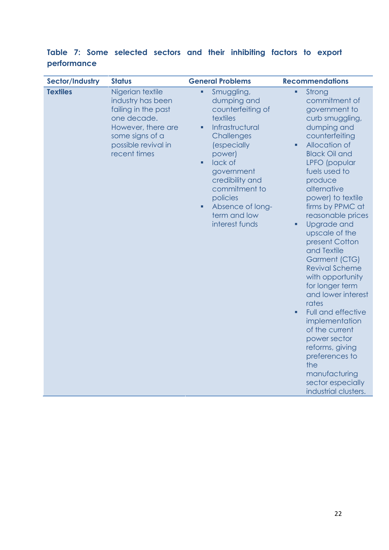### **Table 7: Some selected sectors and their inhibiting factors to export performance**

| Sector/Industry | <b>Status</b>                                                                                                                                               | <b>General Problems</b>                                                                                                                                                                                                                                                                                  | <b>Recommendations</b>                                                                                                                                                                                                                                                                                                                                                                                                                                                                                                                                                                                                                                     |
|-----------------|-------------------------------------------------------------------------------------------------------------------------------------------------------------|----------------------------------------------------------------------------------------------------------------------------------------------------------------------------------------------------------------------------------------------------------------------------------------------------------|------------------------------------------------------------------------------------------------------------------------------------------------------------------------------------------------------------------------------------------------------------------------------------------------------------------------------------------------------------------------------------------------------------------------------------------------------------------------------------------------------------------------------------------------------------------------------------------------------------------------------------------------------------|
| <b>Textiles</b> | Nigerian textile<br>industry has been<br>failing in the past<br>one decade.<br>However, there are<br>some signs of a<br>possible revival in<br>recent times | Smuggling,<br>$\blacksquare$<br>dumping and<br>counterfeiting of<br>textiles<br>Infrastructural<br>٠<br>Challenges<br><i>(especially</i><br>power)<br>lack of<br>$\blacksquare$<br>government<br>credibility and<br>commitment to<br>policies<br>Absence of long-<br>٠<br>term and low<br>interest funds | Strong<br>a,<br>commitment of<br>government to<br>curb smuggling,<br>dumping and<br>counterfeiting<br>Allocation of<br>٠<br><b>Black Oil and</b><br>LPFO (popular<br>fuels used to<br>produce<br>alternative<br>power) to textile<br>firms by PPMC at<br>reasonable prices<br>Upgrade and<br>٠<br>upscale of the<br>present Cotton<br>and Textile<br>Garment (CTG)<br><b>Revival Scheme</b><br>with opportunity<br>for longer term<br>and lower interest<br>rates<br>Full and effective<br>٠<br>implementation<br>of the current<br>power sector<br>reforms, giving<br>preferences to<br>the<br>manufacturing<br>sector especially<br>industrial clusters. |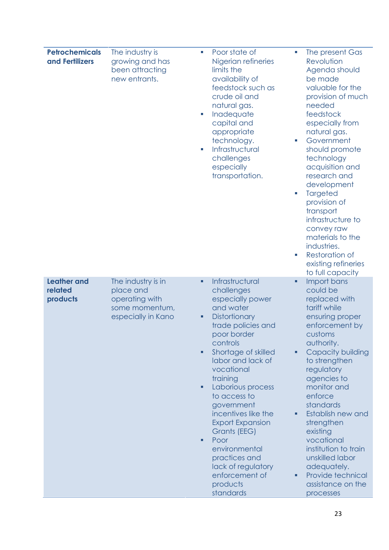| <b>Petrochemicals</b><br>and Fertilizers  | The industry is<br>growing and has<br>been attracting<br>new entrants.                    | Poor state of<br>T,<br>Nigerian refineries<br>limits the<br>availability of<br>feedstock such as<br>crude oil and<br>natural gas.<br>Inadequate<br>U,<br>capital and<br>appropriate<br>technology.<br>Infrastructural<br>T,<br>challenges<br>especially<br>transportation.                                                                                                                                                                                             | T.<br>Ш<br>ш | The present Gas<br>Revolution<br>Agenda should<br>be made<br>valuable for the<br>provision of much<br>needed<br>feedstock<br>especially from<br>natural gas.<br>Government<br>should promote<br>technology<br>acquisition and<br>research and<br>development<br>Targeted<br>provision of<br>transport<br>infrastructure to<br>convey raw<br>materials to the<br>industries.<br><b>Restoration of</b><br>existing refineries<br>to full capacity |
|-------------------------------------------|-------------------------------------------------------------------------------------------|------------------------------------------------------------------------------------------------------------------------------------------------------------------------------------------------------------------------------------------------------------------------------------------------------------------------------------------------------------------------------------------------------------------------------------------------------------------------|--------------|-------------------------------------------------------------------------------------------------------------------------------------------------------------------------------------------------------------------------------------------------------------------------------------------------------------------------------------------------------------------------------------------------------------------------------------------------|
| <b>Leather and</b><br>related<br>products | The industry is in<br>place and<br>operating with<br>some momentum,<br>especially in Kano | Infrastructural<br>٠<br>challenges<br>especially power<br>and water<br><b>Distortionary</b><br>Ξ<br>trade policies and<br>poor border<br>controls<br>Shortage of skilled<br>п<br>labor and lack of<br>vocational<br>training<br>Laborious process<br>٠<br>to access to<br>government<br>incentives like the<br><b>Export Expansion</b><br>Grants (EEG)<br>Poor<br>٠<br>environmental<br>practices and<br>lack of regulatory<br>enforcement of<br>products<br>standards | ٠<br>٠       | Import bans<br>could be<br>replaced with<br>tariff while<br>ensuring proper<br>enforcement by<br>customs<br>authority.<br><b>Capacity building</b><br>to strengthen<br>regulatory<br>agencies to<br>monitor and<br>enforce<br>standards<br>Establish new and<br>strengthen<br>existing<br>vocational<br>institution to train<br>unskilled labor<br>adequately.<br>Provide technical<br>assistance on the<br>processes                           |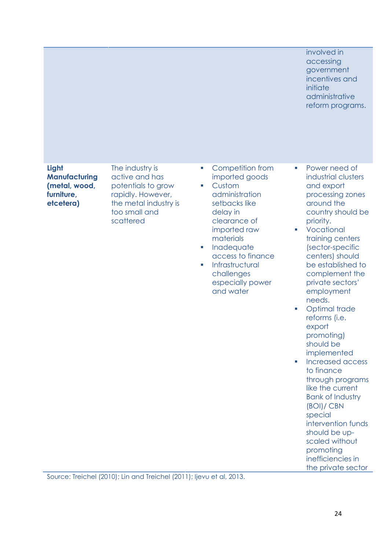|                                                                           |                                                                                                                                     |                                                                                                                                                                                                                                                                       | involved in<br>accessing<br>government<br>incentives and<br>initiate<br>administrative<br>reform programs.                                                                                                                                                                                                                                                                                                                                                                                                                                                                                                                                                               |
|---------------------------------------------------------------------------|-------------------------------------------------------------------------------------------------------------------------------------|-----------------------------------------------------------------------------------------------------------------------------------------------------------------------------------------------------------------------------------------------------------------------|--------------------------------------------------------------------------------------------------------------------------------------------------------------------------------------------------------------------------------------------------------------------------------------------------------------------------------------------------------------------------------------------------------------------------------------------------------------------------------------------------------------------------------------------------------------------------------------------------------------------------------------------------------------------------|
| Light<br><b>Manufacturing</b><br>(metal, wood,<br>furniture,<br>etcetera) | The industry is<br>active and has<br>potentials to grow<br>rapidly. However,<br>the metal industry is<br>too small and<br>scattered | Competition from<br>m,<br>imported goods<br>Custom<br>T.<br>administration<br>setbacks like<br>delay in<br>clearance of<br>imported raw<br>materials<br>Inadequate<br>×.<br>access to finance<br>Infrastructural<br>T.<br>challenges<br>especially power<br>and water | Power need of<br>m,<br>industrial clusters<br>and export<br>processing zones<br>around the<br>country should be<br>priority.<br>Vocational<br>$\mathcal{L}_{\mathcal{A}}$<br>training centers<br>(sector-specific<br>centers) should<br>be established to<br>complement the<br>private sectors'<br>employment<br>needs.<br>Optimal trade<br>T.<br>reforms (i.e.<br>export<br>promoting)<br>should be<br>implemented<br>Increased access<br>T.<br>to finance<br>through programs<br>like the current<br><b>Bank of Industry</b><br>(BOI)/ CBN<br>special<br>intervention funds<br>should be up-<br>scaled without<br>promoting<br>inefficiencies in<br>the private sector |

Source: Treichel (2010); Lin and Treichel (2011); Ijevu et al, 2013.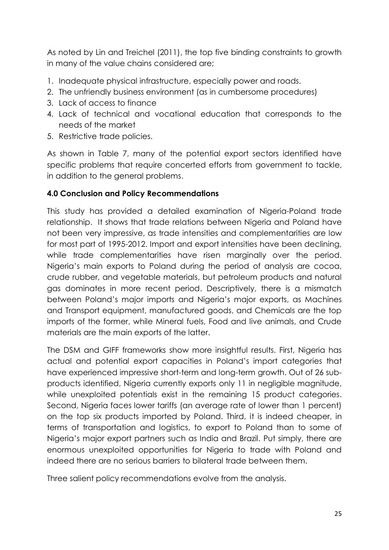As noted by Lin and Treichel (2011), the top five binding constraints to growth in many of the value chains considered are;

- 1. Inadequate physical infrastructure, especially power and roads.
- 2. The unfriendly business environment (as in cumbersome procedures)
- 3. Lack of access to finance
- 4. Lack of technical and vocational education that corresponds to the needs of the market
- 5. Restrictive trade policies.

As shown in Table 7, many of the potential export sectors identified have specific problems that require concerted efforts from government to tackle, in addition to the general problems.

### **4.0 Conclusion and Policy Recommendations**

This study has provided a detailed examination of Nigeria-Poland trade relationship. It shows that trade relations between Nigeria and Poland have not been very impressive, as trade intensities and complementarities are low for most part of 1995-2012. Import and export intensities have been declining, while trade complementarities have risen marginally over the period. Nigeria's main exports to Poland during the period of analysis are cocoa, crude rubber, and vegetable materials, but petroleum products and natural gas dominates in more recent period. Descriptively, there is a mismatch between Poland's major imports and Nigeria's major exports, as Machines and Transport equipment, manufactured goods, and Chemicals are the top imports of the former, while Mineral fuels, Food and live animals, and Crude materials are the main exports of the latter.

The DSM and GIFF frameworks show more insightful results. First, Nigeria has actual and potential export capacities in Poland's import categories that have experienced impressive short-term and long-term growth. Out of 26 sub products identified, Nigeria currently exports only 11 in negligible magnitude, while unexploited potentials exist in the remaining 15 product categories. Second, Nigeria faces lower tariffs (an average rate of lower than 1 percent) on the top six products imported by Poland. Third, it is indeed cheaper, in terms of transportation and logistics, to export to Poland than to some of Nigeria's major export partners such as India and Brazil. Put simply, there are enormous unexploited opportunities for Nigeria to trade with Poland and indeed there are no serious barriers to bilateral trade between them.

Three salient policy recommendations evolve from the analysis.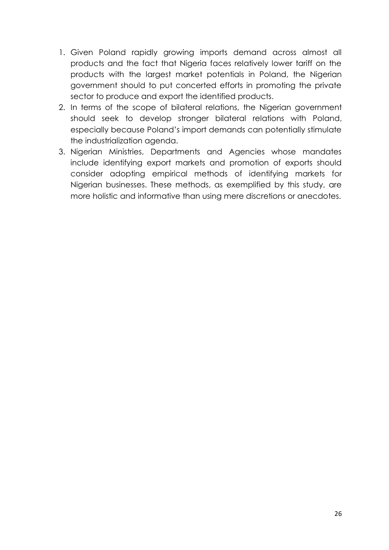- 1. Given Poland rapidly growing imports demand across almost all products and the fact that Nigeria faces relatively lower tariff on the products with the largest market potentials in Poland, the Nigerian government should to put concerted efforts in promoting the private sector to produce and export the identified products.
- 2. In terms of the scope of bilateral relations, the Nigerian government should seek to develop stronger bilateral relations with Poland, especially because Poland's import demands can potentially stimulate the industrialization agenda.
- 3. Nigerian Ministries, Departments and Agencies whose mandates include identifying export markets and promotion of exports should consider adopting empirical methods of identifying markets for Nigerian businesses. These methods, as exemplified by this study, are more holistic and informative than using mere discretions or anecdotes.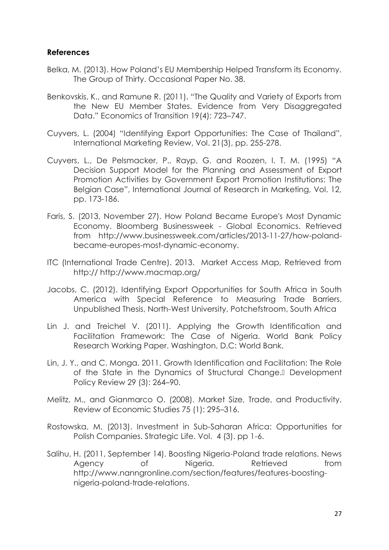### **References**

- Belka, M. (2013). How Poland's EU Membership Helped Transform its Economy. The Group of Thirty. Occasional Paper No. 38.
- Benkovskis, K., and Ramune R. (2011). "The Quality and Variety of Exports from the New EU Member States. Evidence from Very Disaggregated Data." Economics of Transition 19(4): 723–747.
- Cuyvers, L. (2004) "Identifying Export Opportunities: The Case of Thailand", International Marketing Review, Vol. 21(3), pp. 255-278.
- Cuyvers, L., De Pelsmacker, P., Rayp, G. and Roozen, I. T. M. (1995) "A Decision Support Model for the Planning and Assessment of Export Promotion Activities by Government Export Promotion Institutions: The Belgian Case", International Journal of Research in Marketing, Vol. 12, pp. 173-186.
- Faris, S. (2013, November 27). How Poland Became Europe's Most Dynamic Economy. Bloomberg Businessweek - Global Economics. Retrieved from http://www.businessweek.com/articles/2013-11-27/how-poland became-europes-most-dynamic-economy.
- ITC (International Trade Centre). 2013. Market Access Map, Retrieved from http:// http://www.macmap.org/
- Jacobs, C. (2012). Identifying Export Opportunities for South Africa in South America with Special Reference to Measuring Trade Barriers, Unpublished Thesis, North-West University, Potchefstroom, South Africa
- Lin J. and Treichel V. (2011). Applying the Growth Identification and Facilitation Framework: The Case of Nigeria. World Bank Policy Research Working Paper. Washington, D.C: World Bank.
- Lin, J. Y., and C. Monga. 2011. Growth Identification and Facilitation: The Role of the State in the Dynamics of Structural Change. Development Policy Review 29 (3): 264–90.
- Melitz, M., and Gianmarco O. (2008). Market Size, Trade, and Productivity. Review of Economic Studies 75 (1): 295–316.
- Rostowska, M. (2013). Investment in Sub-Saharan Africa: Opportunities for Polish Companies. Strategic Life. Vol. 4 (3). pp 1-6.
- Salihu, H. (2011, September 14). Boosting Nigeria-Poland trade relations. News Agency of Nigeria. Retrieved from http://www.nanngronline.com/section/features/features-boosting nigeria-poland-trade-relations.